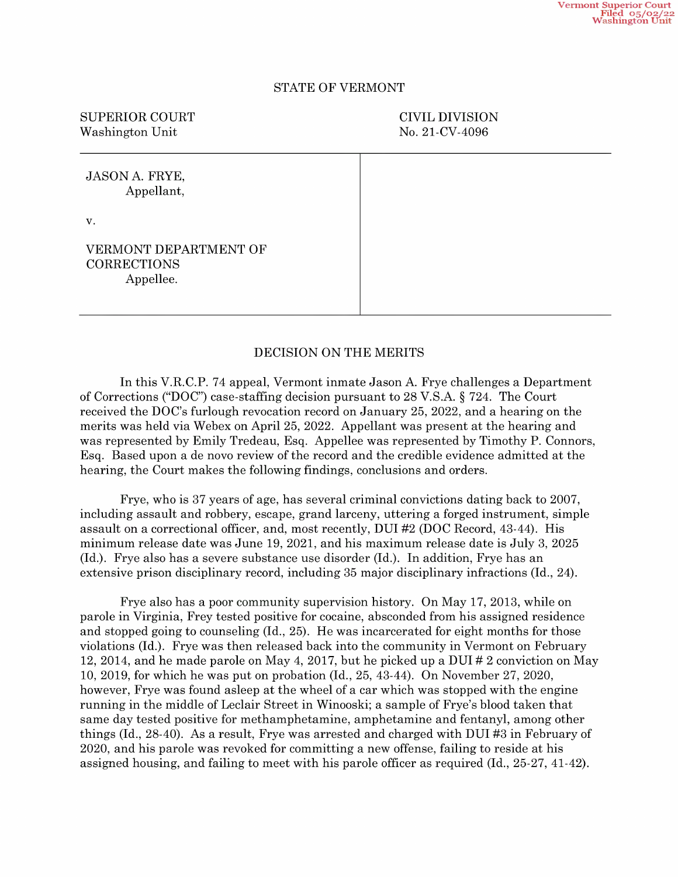## STATE OF VERMONT

SUPERIOR COURT CIVIL DIVISION Washington Unit No. 21-CV-4096

JASON A. FRYE, Appellant, V. VERMONT DEPARTMENT OF CORRECTIONS Appellee.

## DECISION ON THE MERITS

In this V.R.C.P. 74 appeal, Vermont inmate Jason A. Frye challenges a Department of Corrections ("DOC") case-staffing decision pursuant to 28 V.S.A. § 724. The Court received the DOC's furlough revocation record on January merits was held via Webex on April 25, 2022. Appellant was present at the hearing and was represented by Emily Tredeau, Esq. Appellee was represented by Timothy P. Connors, Esq. Based upon de novo review of the record and the credible evidence admitted at the hearing, the Court makes the following findings, conclusions and orders.

Frye, who is 37 years of age, has several criminal convictions dating back to 2007, assault on a correctional officer, and, most recently, DUI  $#2$  (DOC Record, 43-44). His minimum release date was June 19, 2021, and his maximum release date is July 3, 2025 (Id.). Frye also has a severe substance use dis extensive prison disciplinary record, including 35 major disciplinary infractions (Id., 24).

Frye also has poor community supervision history. On May 17, 2013, while on parole in Virginia, Frey tested positive for cocaine, absconded from his assigned residence and stopped going to counseling (Id., 25). He was incarcerated for eight months for those violations (Id.). Frye was then released back into the community in Vermont on February 12, 2014, and he made parole on May 4, 2017, but he picked up a DUI  $\#$  2 conviction on May 10, 2019, for which he was put on probation (Id., 25, 43-44). On November 27, 2020, however, Frye was found asleep at the wheel of a car which was stopped with the engine running in the middle of Leclair Street in Winooski; a sample of Frye's blood taken that same day tested positive for methamphetamine, amphetamine and fentanyl, among other things (Id., 28-40). As a result, Frye was arrested and charged with DUI #3 in February of 2020, and his parole was revoked for committing a new offense, failing to reside at his assigned housing, and failing to meet with his parole officer as required (Id., 25-27, 41-42).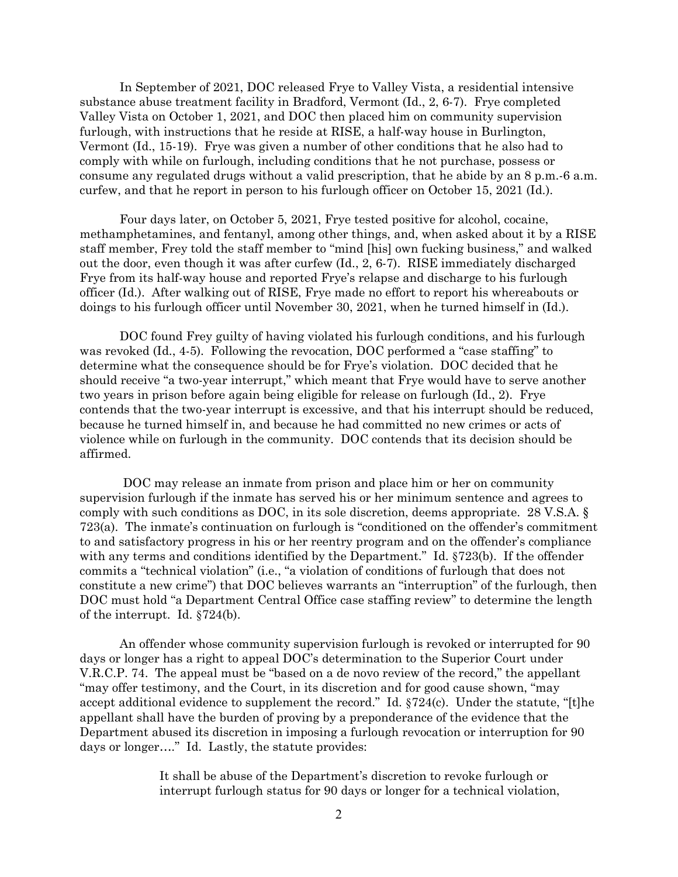In September of 2021, DOC released Frye to Valley Vista, a residential intensive substance abuse treatment facility in Bradford, Vermont (Id., 2, 6-7). Frye completed Valley Vista on October 1, 2021, and DOC then placed him on community supervision furlough, with instructions that he reside at RISE, a half-way house in Burlington, Vermont (Id., 15-19). Frye was given a number of other conditions that he also had to comply with while on furlough, including conditions that he not purchase, possess or consume any regulated drugs without a valid prescription, that he abide by an 8 p.m.-6 a.m. curfew, and that he report in person to his furlough officer on October 15, 2021 (Id.).

Four days later, on October 5, 2021, Frye tested positive for alcohol, cocaine, methamphetamines, and fentanyl, among other things, and, when asked about it by a RISE staff member, Frey told the staff member to "mind [his] own fucking business," and walked out the door, even though it was after curfew (Id., 2, 6-7). RISE immediately discharged Frye from its half-way house and reported Frye's relapse and discharge to his furlough officer (Id.). After walking out of RISE, Frye made no effort to report his whereabouts or doings to his furlough officer until November 30, 2021, when he turned himself in (Id.).

DOC found Frey guilty of having violated his furlough conditions, and his furlough was revoked (Id., 4-5). Following the revocation, DOC performed a "case staffing" to determine what the consequence should be for Frye's violation. DOC decided that he should receive "a two-year interrupt," which meant that Frye would have to serve another two years in prison before again being eligible for release on furlough (Id., 2). Frye contends that the two-year interrupt is excessive, and that his interrupt should be reduced, because he turned himself in, and because he had committed no new crimes or acts of violence while on furlough in the community. DOC contends that its decision should be affirmed.

DOC may release an inmate from prison and place him or her on community supervision furlough if the inmate has served his or her minimum sentence and agrees to comply with such conditions as DOC, in its sole discretion, deems appropriate. 28 V.S.A. § 723(a). The inmate's continuation on furlough is "conditioned on the offender's commitment to and satisfactory progress in his or her reentry program and on the offender's compliance with any terms and conditions identified by the Department." Id. §723(b). If the offender commits a "technical violation" (i.e., "a violation of conditions of furlough that does not constitute a new crime") that DOC believes warrants an "interruption" of the furlough, then DOC must hold "a Department Central Office case staffing review" to determine the length of the interrupt. Id. §724(b).

An offender whose community supervision furlough is revoked or interrupted for 90 days or longer has a right to appeal DOC's determination to the Superior Court under V.R.C.P. 74. The appeal must be "based on a de novo review of the record," the appellant "may offer testimony, and the Court, in its discretion and for good cause shown, "may accept additional evidence to supplement the record." Id. §724(c). Under the statute, "[t]he appellant shall have the burden of proving by a preponderance of the evidence that the Department abused its discretion in imposing a furlough revocation or interruption for 90 days or longer…." Id. Lastly, the statute provides:

> It shall be abuse of the Department's discretion to revoke furlough or interrupt furlough status for 90 days or longer for a technical violation,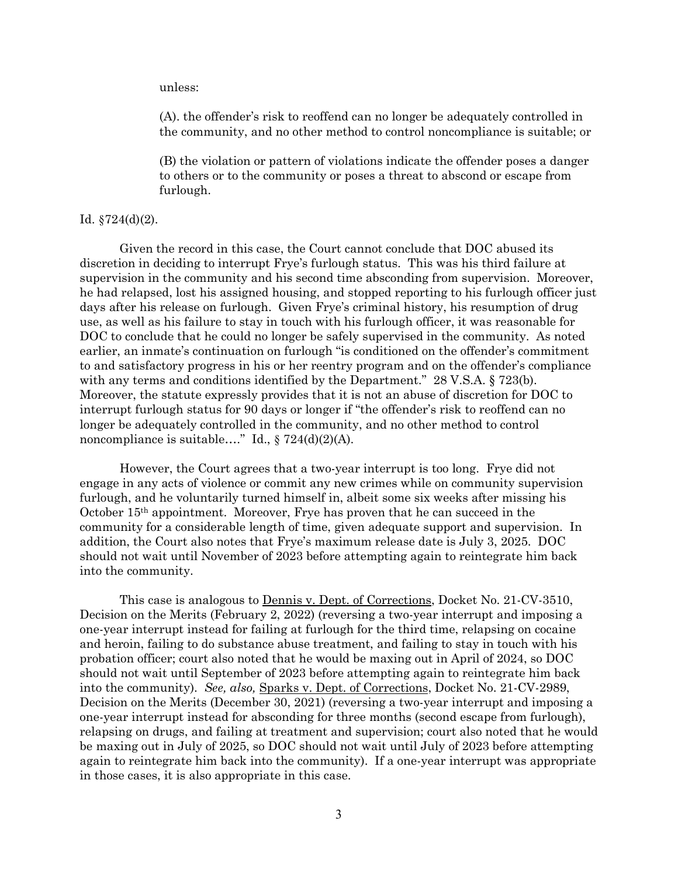unless:

(A). the offender's risk to reoffend can no longer be adequately controlled in the community, and no other method to control noncompliance is suitable; or

(B) the violation or pattern of violations indicate the offender poses a danger to others or to the community or poses a threat to abscond or escape from furlough.

## Id. §724(d)(2).

Given the record in this case, the Court cannot conclude that DOC abused its discretion in deciding to interrupt Frye's furlough status. This was his third failure at supervision in the community and his second time absconding from supervision. Moreover, he had relapsed, lost his assigned housing, and stopped reporting to his furlough officer just days after his release on furlough. Given Frye's criminal history, his resumption of drug use, as well as his failure to stay in touch with his furlough officer, it was reasonable for DOC to conclude that he could no longer be safely supervised in the community. As noted earlier, an inmate's continuation on furlough "is conditioned on the offender's commitment to and satisfactory progress in his or her reentry program and on the offender's compliance with any terms and conditions identified by the Department." 28 V.S.A. § 723(b). Moreover, the statute expressly provides that it is not an abuse of discretion for DOC to interrupt furlough status for 90 days or longer if "the offender's risk to reoffend can no longer be adequately controlled in the community, and no other method to control noncompliance is suitable...." Id.,  $\S 724(d)(2)(A)$ .

However, the Court agrees that a two-year interrupt is too long. Frye did not engage in any acts of violence or commit any new crimes while on community supervision furlough, and he voluntarily turned himself in, albeit some six weeks after missing his October 15th appointment. Moreover, Frye has proven that he can succeed in the community for a considerable length of time, given adequate support and supervision. In addition, the Court also notes that Frye's maximum release date is July 3, 2025. DOC should not wait until November of 2023 before attempting again to reintegrate him back into the community.

This case is analogous to Dennis v. Dept. of Corrections, Docket No. 21-CV-3510, Decision on the Merits (February 2, 2022) (reversing a two-year interrupt and imposing a one-year interrupt instead for failing at furlough for the third time, relapsing on cocaine and heroin, failing to do substance abuse treatment, and failing to stay in touch with his probation officer; court also noted that he would be maxing out in April of 2024, so DOC should not wait until September of 2023 before attempting again to reintegrate him back into the community). *See, also,* Sparks v. Dept. of Corrections, Docket No. 21-CV-2989, Decision on the Merits (December 30, 2021) (reversing a two-year interrupt and imposing a one-year interrupt instead for absconding for three months (second escape from furlough), relapsing on drugs, and failing at treatment and supervision; court also noted that he would be maxing out in July of 2025, so DOC should not wait until July of 2023 before attempting again to reintegrate him back into the community). If a one-year interrupt was appropriate in those cases, it is also appropriate in this case.